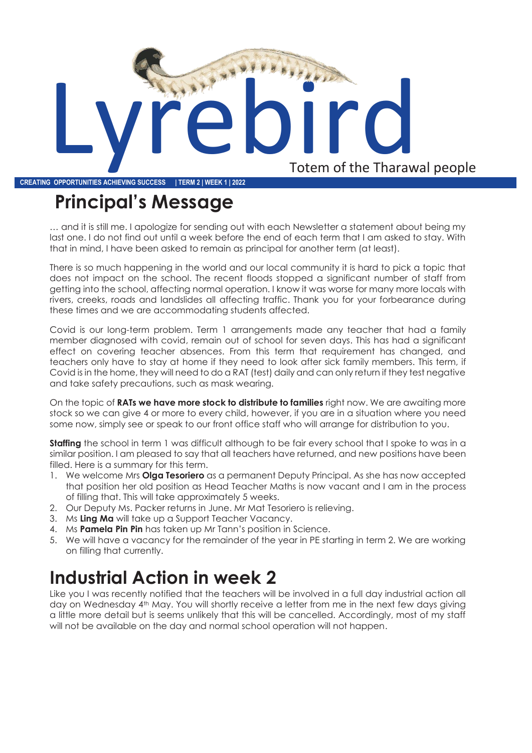

**CREATING OPPORTUNITIES ACHIEVING SUCCESS | TERM 2 | WEEK 1 | 2022**

# **Principal's Message**

… and it is still me. I apologize for sending out with each Newsletter a statement about being my last one. I do not find out until a week before the end of each term that I am asked to stay. With that in mind, I have been asked to remain as principal for another term (at least).

There is so much happening in the world and our local community it is hard to pick a topic that does not impact on the school. The recent floods stopped a significant number of staff from getting into the school, affecting normal operation. I know it was worse for many more locals with rivers, creeks, roads and landslides all affecting traffic. Thank you for your forbearance during these times and we are accommodating students affected.

Covid is our long-term problem. Term 1 arrangements made any teacher that had a family member diagnosed with covid, remain out of school for seven days. This has had a significant effect on covering teacher absences. From this term that requirement has changed, and teachers only have to stay at home if they need to look after sick family members. This term, if Covid is in the home, they will need to do a RAT (test) daily and can only return if they test negative and take safety precautions, such as mask wearing.

On the topic of **RATs we have more stock to distribute to families** right now. We are awaiting more stock so we can give 4 or more to every child, however, if you are in a situation where you need some now, simply see or speak to our front office staff who will arrange for distribution to you.

**Staffing** the school in term 1 was difficult although to be fair every school that I spoke to was in a similar position. I am pleased to say that all teachers have returned, and new positions have been filled. Here is a summary for this term.

- 1. We welcome Mrs **Olga Tesoriero** as a permanent Deputy Principal. As she has now accepted that position her old position as Head Teacher Maths is now vacant and I am in the process of filling that. This will take approximately 5 weeks.
- 2. Our Deputy Ms. Packer returns in June. Mr Mat Tesoriero is relieving.
- 3. Ms **Ling Ma** will take up a Support Teacher Vacancy.
- 4. Ms **Pamela Pin Pin** has taken up Mr Tann's position in Science.
- 5. We will have a vacancy for the remainder of the year in PE starting in term 2. We are working on filling that currently.

## **Industrial Action in week 2**

Like you I was recently notified that the teachers will be involved in a full day industrial action all day on Wednesday 4th May. You will shortly receive a letter from me in the next few days giving a little more detail but is seems unlikely that this will be cancelled. Accordingly, most of my staff will not be available on the day and normal school operation will not happen.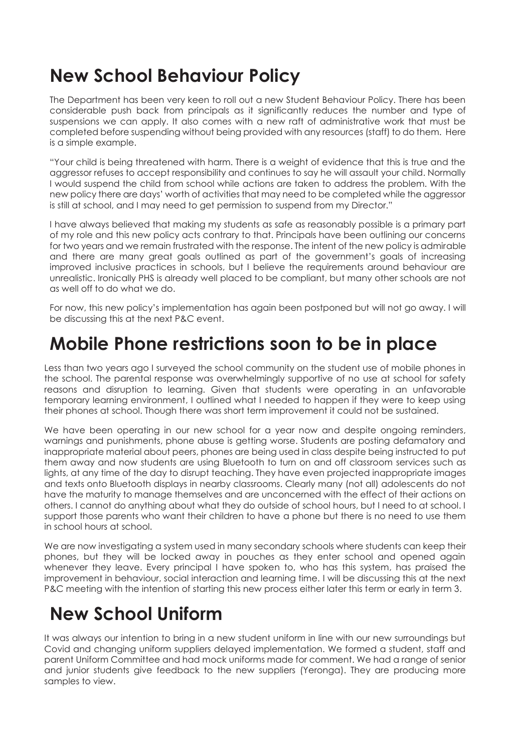## **New School Behaviour Policy**

The Department has been very keen to roll out a new Student Behaviour Policy. There has been considerable push back from principals as it significantly reduces the number and type of suspensions we can apply. It also comes with a new raft of administrative work that must be completed before suspending without being provided with any resources (staff) to do them. Here is a simple example.

"Your child is being threatened with harm. There is a weight of evidence that this is true and the aggressor refuses to accept responsibility and continues to say he will assault your child. Normally I would suspend the child from school while actions are taken to address the problem. With the new policy there are days' worth of activities that may need to be completed while the aggressor is still at school, and I may need to get permission to suspend from my Director."

I have always believed that making my students as safe as reasonably possible is a primary part of my role and this new policy acts contrary to that. Principals have been outlining our concerns for two years and we remain frustrated with the response. The intent of the new policy is admirable and there are many great goals outlined as part of the government's goals of increasing improved inclusive practices in schools, but I believe the requirements around behaviour are unrealistic. Ironically PHS is already well placed to be compliant, but many other schools are not as well off to do what we do.

For now, this new policy's implementation has again been postponed but will not go away. I will be discussing this at the next P&C event.

#### **Mobile Phone restrictions soon to be in place**

Less than two years ago I surveyed the school community on the student use of mobile phones in the school. The parental response was overwhelmingly supportive of no use at school for safety reasons and disruption to learning. Given that students were operating in an unfavorable temporary learning environment, I outlined what I needed to happen if they were to keep using their phones at school. Though there was short term improvement it could not be sustained.

We have been operating in our new school for a year now and despite ongoing reminders, warnings and punishments, phone abuse is getting worse. Students are posting defamatory and inappropriate material about peers, phones are being used in class despite being instructed to put them away and now students are using Bluetooth to turn on and off classroom services such as lights, at any time of the day to disrupt teaching. They have even projected inappropriate images and texts onto Bluetooth displays in nearby classrooms. Clearly many (not all) adolescents do not have the maturity to manage themselves and are unconcerned with the effect of their actions on others. I cannot do anything about what they do outside of school hours, but I need to at school. I support those parents who want their children to have a phone but there is no need to use them in school hours at school.

We are now investigating a system used in many secondary schools where students can keep their phones, but they will be locked away in pouches as they enter school and opened again whenever they leave. Every principal I have spoken to, who has this system, has praised the improvement in behaviour, social interaction and learning time. I will be discussing this at the next P&C meeting with the intention of starting this new process either later this term or early in term 3.

#### **New School Uniform**

It was always our intention to bring in a new student uniform in line with our new surroundings but Covid and changing uniform suppliers delayed implementation. We formed a student, staff and parent Uniform Committee and had mock uniforms made for comment. We had a range of senior and junior students give feedback to the new suppliers (Yeronga). They are producing more samples to view.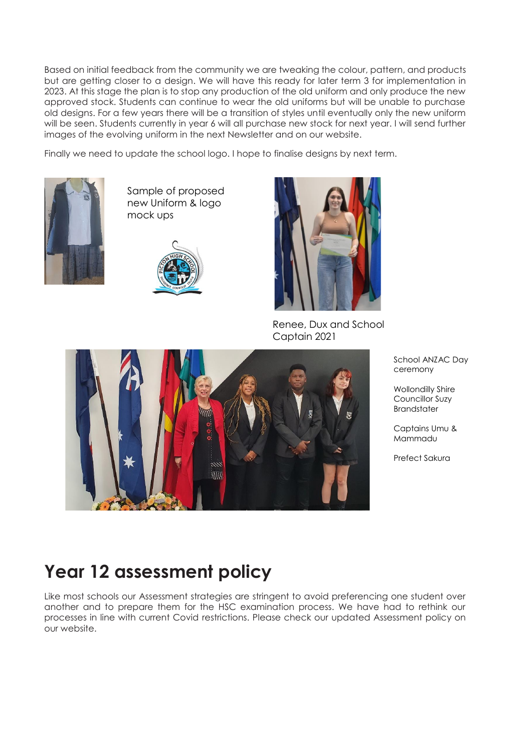Based on initial feedback from the community we are tweaking the colour, pattern, and products but are getting closer to a design. We will have this ready for later term 3 for implementation in 2023. At this stage the plan is to stop any production of the old uniform and only produce the new approved stock. Students can continue to wear the old uniforms but will be unable to purchase old designs. For a few years there will be a transition of styles until eventually only the new uniform will be seen. Students currently in year 6 will all purchase new stock for next year. I will send further images of the evolving uniform in the next Newsletter and on our website.

Finally we need to update the school logo. I hope to finalise designs by next term.



Sample of proposed new Uniform & logo mock ups





Renee, Dux and School *Captain*  Captain 2021



School ANZAC Day ceremony

Wollondilly Shire Councillor Suzy Brandstater

Captains Umu & Mammadu

Prefect Sakura

## **Year 12 assessment policy**

Like most schools our Assessment strategies are stringent to avoid preferencing one student over another and to prepare them for the HSC examination process. We have had to rethink our processes in line with current Covid restrictions. Please check our updated Assessment policy on our website.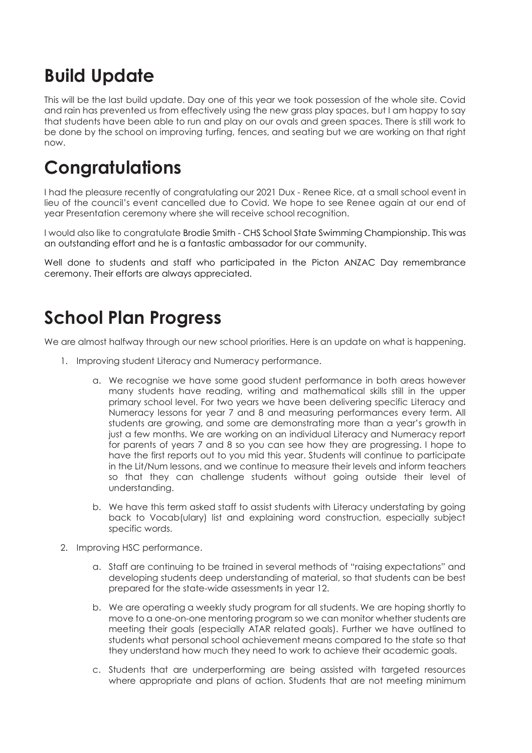# **Build Update**

This will be the last build update. Day one of this year we took possession of the whole site. Covid and rain has prevented us from effectively using the new grass play spaces, but I am happy to say that students have been able to run and play on our ovals and green spaces. There is still work to be done by the school on improving turfing, fences, and seating but we are working on that right now.

### **Congratulations**

I had the pleasure recently of congratulating our 2021 Dux - Renee Rice, at a small school event in lieu of the council's event cancelled due to Covid. We hope to see Renee again at our end of year Presentation ceremony where she will receive school recognition.

I would also like to congratulate Brodie Smith - CHS School State Swimming Championship. This was an outstanding effort and he is a fantastic ambassador for our community.

Well done to students and staff who participated in the Picton ANZAC Day remembrance ceremony. Their efforts are always appreciated.

## **School Plan Progress**

We are almost halfway through our new school priorities. Here is an update on what is happening.

- 1. Improving student Literacy and Numeracy performance.
	- a. We recognise we have some good student performance in both areas however many students have reading, writing and mathematical skills still in the upper primary school level. For two years we have been delivering specific Literacy and Numeracy lessons for year 7 and 8 and measuring performances every term. All students are growing, and some are demonstrating more than a year's growth in just a few months. We are working on an individual Literacy and Numeracy report for parents of years 7 and 8 so you can see how they are progressing. I hope to have the first reports out to you mid this year. Students will continue to participate in the Lit/Num lessons, and we continue to measure their levels and inform teachers so that they can challenge students without going outside their level of understanding.
	- b. We have this term asked staff to assist students with Literacy understating by going back to Vocab(ulary) list and explaining word construction, especially subject specific words.
- 2. Improving HSC performance.
	- a. Staff are continuing to be trained in several methods of "raising expectations" and developing students deep understanding of material, so that students can be best prepared for the state-wide assessments in year 12.
	- b. We are operating a weekly study program for all students. We are hoping shortly to move to a one-on-one mentoring program so we can monitor whether students are meeting their goals (especially ATAR related goals). Further we have outlined to students what personal school achievement means compared to the state so that they understand how much they need to work to achieve their academic goals.
	- c. Students that are underperforming are being assisted with targeted resources where appropriate and plans of action. Students that are not meeting minimum